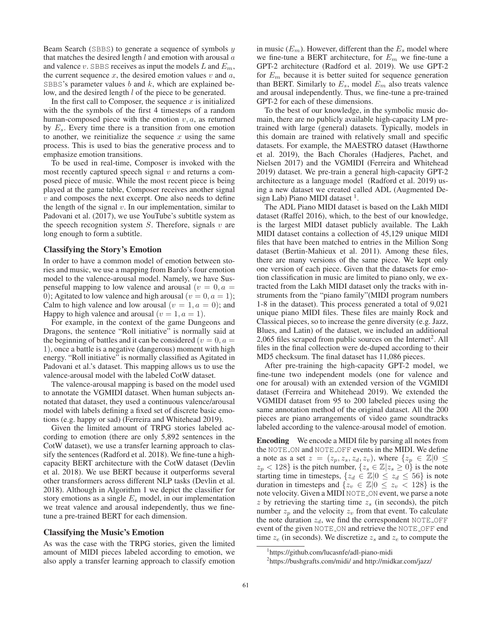Beam Search (SBBS) to generate a sequence of symbols  $y$ that matches the desired length  $l$  and emotion with arousal  $a$ and valence  $v$ . SBBS receives as input the models  $L$  and  $E_m$ , the current sequence  $x$ , the desired emotion values  $v$  and  $a$ , SBBS's parameter values  $b$  and  $k$ , which are explained below, and the desired length *l* of the piece to be generated.

In the first call to Composer, the sequence  $x$  is initialized with the the symbols of the first 4 timesteps of a random human-composed piece with the emotion  $v, a$ , as returned by  $E_s$ . Every time there is a transition from one emotion to another, we reinitialize the sequence  $x$  using the same process. This is used to bias the generative process and to emphasize emotion transitions.

To be used in real-time, Composer is invoked with the most recently captured speech signal  $v$  and returns a composed piece of music. While the most recent piece is being played at the game table, Composer receives another signal  $v$  and composes the next excerpt. One also needs to define the length of the signal  $v$ . In our implementation, similar to Padovani et al. (2017), we use YouTube's subtitle system as the speech recognition system  $S$ . Therefore, signals  $v$  are long enough to form a subtitle.

#### Classifying the Story's Emotion

In order to have a common model of emotion between stories and music, we use a mapping from Bardo's four emotion model to the valence-arousal model. Namely, we have Suspenseful mapping to low valence and arousal  $(v = 0, a =$ 0); Agitated to low valence and high arousal ( $v = 0, a = 1$ ); Calm to high valence and low arousal  $(v = 1, a = 0)$ ; and Happy to high valence and arousal  $(v = 1, a = 1)$ .

For example, in the context of the game Dungeons and Dragons, the sentence "Roll initiative" is normally said at the beginning of battles and it can be considered ( $v = 0, a =$ 1), once a battle is a negative (dangerous) moment with high energy. "Roll initiative" is normally classified as Agitated in Padovani et al.'s dataset. This mapping allows us to use the valence-arousal model with the labeled CotW dataset.

The valence-arousal mapping is based on the model used to annotate the VGMIDI dataset. When human subjects annotated that dataset, they used a continuous valence/arousal model with labels defining a fixed set of discrete basic emotions (e.g. happy or sad) (Ferreira and Whitehead 2019).

Given the limited amount of TRPG stories labeled according to emotion (there are only 5,892 sentences in the CotW dataset), we use a transfer learning approach to classify the sentences (Radford et al. 2018). We fine-tune a highcapacity BERT architecture with the CotW dataset (Devlin et al. 2018). We use BERT because it outperforms several other transformers across different NLP tasks (Devlin et al. 2018). Although in Algorithm 1 we depict the classifier for story emotions as a single  $E_s$  model, in our implementation we treat valence and arousal independently, thus we finetune a pre-trained BERT for each dimension.

#### Classifying the Music's Emotion

As was the case with the TRPG stories, given the limited amount of MIDI pieces labeled according to emotion, we also apply a transfer learning approach to classify emotion in music  $(E_m)$ . However, different than the  $E_s$  model where we fine-tune a BERT architecture, for  $E_m$  we fine-tune a GPT-2 architecture (Radford et al. 2019). We use GPT-2 for  $E_m$  because it is better suited for sequence generation than BERT. Similarly to  $E_s$ , model  $E_m$  also treats valence and arousal independently. Thus, we fine-tune a pre-trained GPT-2 for each of these dimensions.

To the best of our knowledge, in the symbolic music domain, there are no publicly available high-capacity LM pretrained with large (general) datasets. Typically, models in this domain are trained with relatively small and specific datasets. For example, the MAESTRO dataset (Hawthorne et al. 2019), the Bach Chorales (Hadjeres, Pachet, and Nielsen 2017) and the VGMIDI (Ferreira and Whitehead 2019) dataset. We pre-train a general high-capacity GPT-2 architecture as a language model (Radford et al. 2019) using a new dataset we created called ADL (Augmented Design Lab) Piano MIDI dataset  $<sup>1</sup>$ .</sup>

The ADL Piano MIDI dataset is based on the Lakh MIDI dataset (Raffel 2016), which, to the best of our knowledge, is the largest MIDI dataset publicly available. The Lakh MIDI dataset contains a collection of 45,129 unique MIDI files that have been matched to entries in the Million Song dataset (Bertin-Mahieux et al. 2011). Among these files, there are many versions of the same piece. We kept only one version of each piece. Given that the datasets for emotion classification in music are limited to piano only, we extracted from the Lakh MIDI dataset only the tracks with instruments from the "piano family"(MIDI program numbers 1-8 in the dataset). This process generated a total of 9,021 unique piano MIDI files. These files are mainly Rock and Classical pieces, so to increase the genre diversity (e.g. Jazz, Blues, and Latin) of the dataset, we included an additional 2,065 files scraped from public sources on the Internet<sup>2</sup>. All files in the final collection were de-duped according to their MD5 checksum. The final dataset has 11,086 pieces.

After pre-training the high-capacity GPT-2 model, we fine-tune two independent models (one for valence and one for arousal) with an extended version of the VGMIDI dataset (Ferreira and Whitehead 2019). We extended the VGMIDI dataset from 95 to 200 labeled pieces using the same annotation method of the original dataset. All the 200 pieces are piano arrangements of video game soundtracks labeled according to the valence-arousal model of emotion.

Encoding We encode a MIDI file by parsing all notes from the NOTE ON and NOTE OFF events in the MIDI. We define a note as a set  $z = (z_p, z_s, z_d, z_v)$ , where  $\{z_p \in \mathbb{Z} | 0 \leq z_v \}$  $z_p < 128$ } is the pitch number,  $\{z_s \in \mathbb{Z} | z_s \geq 0\}$  is the note starting time in timesteps,  $\{z_d \in \mathbb{Z} | 0 \leq z_d \leq 56\}$  is note duration in timesteps and  $\{z_v \in \mathbb{Z} | 0 \leq z_v < 128\}$  is the note velocity. Given a MIDI NOTE ON event, we parse a note  $z$  by retrieving the starting time  $z<sub>s</sub>$  (in seconds), the pitch number  $z_p$  and the velocity  $z_v$  from that event. To calculate the note duration  $z_d$ , we find the correspondent NOTE OFF event of the given NOTE ON and retrieve the NOTE OFF end time  $z_e$  (in seconds). We discretize  $z_s$  and  $z_e$  to compute the

<sup>1</sup> https://github.com/lucasnfe/adl-piano-midi

<sup>2</sup> https://bushgrafts.com/midi/ and http://midkar.com/jazz/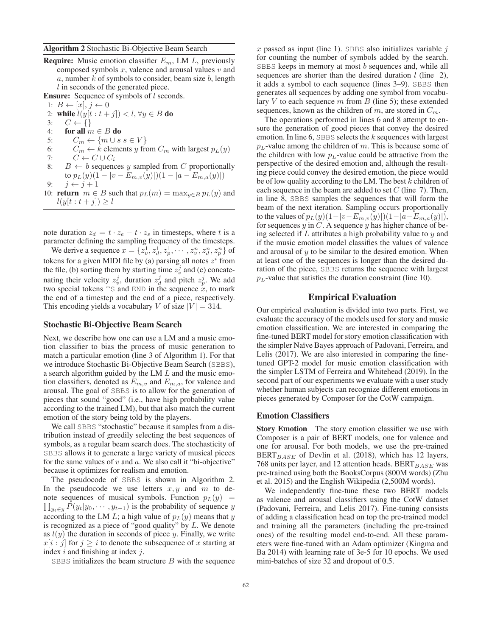**Require:** Music emotion classifier  $E_m$ , LM L, previously composed symbols  $x$ , valence and arousal values  $v$  and a, number  $k$  of symbols to consider, beam size  $b$ , length  $l$  in seconds of the generated piece.

Ensure: Sequence of symbols of *l* seconds.

- 1:  $B \leftarrow [x], j \leftarrow 0$
- 2: while  $l(y[t:t+j]) < l, \forall y \in B$  do 3:  $C \leftarrow \{\}$ <br>4: for all *n* for all  $m \in B$  do 5:  $C_m \leftarrow \{m \cup s | s \in V\}$ 6:  $C_m \leftarrow k$  elements y from  $C_m$  with largest  $p_L(y)$
- 7:  $C \leftarrow C \cup C_i$
- 8:  $B \leftarrow b$  sequences y sampled from C proportionally to  $p_L(y)(1 - |v - E_{m,v}(y)|)(1 - |a - E_{m,a}(y)|)$
- 9:  $j \leftarrow j + 1$ 10: **return**  $m \in B$  such that  $p_L(m) = \max_{y \in B} p_L(y)$  and  $l(y[t : t + j]) \geq l$

note duration  $z_d = t \cdot z_e - t \cdot z_s$  in timesteps, where t is a parameter defining the sampling frequency of the timesteps.

We derive a sequence  $x = \{z_v^1, z_d^1, z_v^1, \cdots, z_v^n, z_d^n, z_v^n\}$  of tokens for a given MIDI file by (a) parsing all notes  $z^i$  from the file, (b) sorting them by starting time  $z_s^j$  and (c) concatenating their velocity  $z_v^j$ , duration  $z_d^j$  and pitch  $z_v^j$ . We add two special tokens  $TS$  and  $END$  in the sequence  $x$ , to mark the end of a timestep and the end of a piece, respectively. This encoding yields a vocabulary V of size  $|V| = 314$ .

#### Stochastic Bi-Objective Beam Search

Next, we describe how one can use a LM and a music emotion classifier to bias the process of music generation to match a particular emotion (line 3 of Algorithm 1). For that we introduce Stochastic Bi-Objective Beam Search (SBBS), a search algorithm guided by the LM L and the music emotion classifiers, denoted as  $E_{m,v}$  and  $E_{m,a}$ , for valence and arousal. The goal of SBBS is to allow for the generation of pieces that sound "good" (i.e., have high probability value according to the trained LM), but that also match the current emotion of the story being told by the players.

We call SBBS "stochastic" because it samples from a distribution instead of greedily selecting the best sequences of symbols, as a regular beam search does. The stochasticity of SBBS allows it to generate a large variety of musical pieces for the same values of  $v$  and  $a$ . We also call it "bi-objective" because it optimizes for realism and emotion.

The pseudocode of SBBS is shown in Algorithm 2. In the pseudocode we use letters  $x, y$  and m to denote sequences of musical symbols. Function  $p_L(y)$  =  $\prod_{y_t \in y} P(y_t|y_0, \dots, y_{t-1})$  is the probability of sequence y according to the LM L; a high value of  $p_L(y)$  means that y is recognized as a piece of "good quality" by L. We denote as  $l(y)$  the duration in seconds of piece y. Finally, we write  $x[i : j]$  for  $j \geq i$  to denote the subsequence of x starting at index  $i$  and finishing at index  $j$ .

SBBS initializes the beam structure  $B$  with the sequence

 $x$  passed as input (line 1). SBBS also initializes variable  $i$ for counting the number of symbols added by the search. SBBS keeps in memory at most  $b$  sequences and, while all sequences are shorter than the desired duration  $l$  (line 2), it adds a symbol to each sequence (lines 3–9). SBBS then generates all sequences by adding one symbol from vocabulary  $V$  to each sequence  $m$  from  $B$  (line 5); these extended sequences, known as the children of m, are stored in  $C_m$ .

The operations performed in lines 6 and 8 attempt to ensure the generation of good pieces that convey the desired emotion. In line 6, SBBS selects the  $k$  sequences with largest  $p<sub>L</sub>$ -value among the children of m. This is because some of the children with low  $p_L$ -value could be attractive from the perspective of the desired emotion and, although the resulting piece could convey the desired emotion, the piece would be of low quality according to the LM. The best  $k$  children of each sequence in the beam are added to set  $C$  (line 7). Then, in line 8, SBBS samples the sequences that will form the beam of the next iteration. Sampling occurs proportionally to the values of  $p_L(y)(1-|v-E_{m,v}(y)|)(1-|a-E_{m,a}(y)|)$ , for sequences  $y$  in  $C$ . A sequence  $y$  has higher chance of being selected if  $L$  attributes a high probability value to  $y$  and if the music emotion model classifies the values of valence and arousal of  $y$  to be similar to the desired emotion. When at least one of the sequences is longer than the desired duration of the piece, SBBS returns the sequence with largest  $p<sub>L</sub>$ -value that satisfies the duration constraint (line 10).

# Empirical Evaluation

Our empirical evaluation is divided into two parts. First, we evaluate the accuracy of the models used for story and music emotion classification. We are interested in comparing the fine-tuned BERT model for story emotion classification with the simpler Na¨ıve Bayes approach of Padovani, Ferreira, and Lelis (2017). We are also interested in comparing the finetuned GPT-2 model for music emotion classification with the simpler LSTM of Ferreira and Whitehead (2019). In the second part of our experiments we evaluate with a user study whether human subjects can recognize different emotions in pieces generated by Composer for the CotW campaign.

#### Emotion Classifiers

Story Emotion The story emotion classifier we use with Composer is a pair of BERT models, one for valence and one for arousal. For both models, we use the pre-trained  $BERT_{BASE}$  of Devlin et al. (2018), which has 12 layers, 768 units per layer, and 12 attention heads. BERT $_{BASE}$  was pre-trained using both the BooksCorpus (800M words) (Zhu et al. 2015) and the English Wikipedia (2,500M words).

We independently fine-tune these two BERT models as valence and arousal classifiers using the CotW dataset (Padovani, Ferreira, and Lelis 2017). Fine-tuning consists of adding a classification head on top the pre-trained model and training all the parameters (including the pre-trained ones) of the resulting model end-to-end. All these parameters were fine-tuned with an Adam optimizer (Kingma and Ba 2014) with learning rate of 3e-5 for 10 epochs. We used mini-batches of size 32 and dropout of 0.5.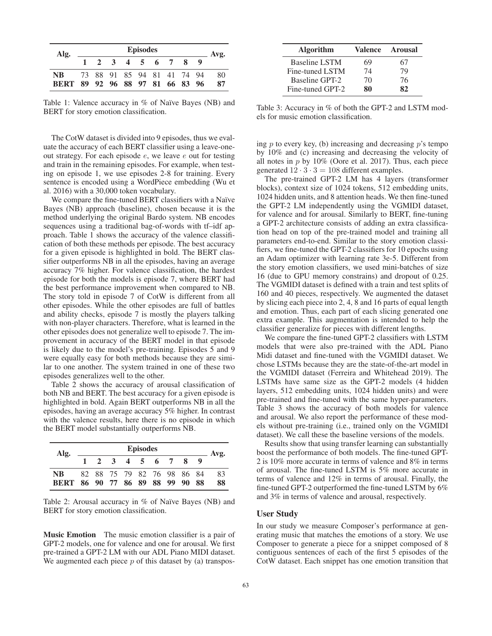| Alg.                                         | <b>Episodes</b> |  |    |  |            |  |                            |  |  |          |  |  |  |  |
|----------------------------------------------|-----------------|--|----|--|------------|--|----------------------------|--|--|----------|--|--|--|--|
|                                              |                 |  | -3 |  | $4\quad 5$ |  | 6 7                        |  |  | Avg.     |  |  |  |  |
| <b>NB</b><br>BERT 89 92 96 88 97 81 66 83 96 |                 |  |    |  |            |  | 73 88 91 85 94 81 41 74 94 |  |  | 80<br>87 |  |  |  |  |

Table 1: Valence accuracy in  $%$  of Naïve Bayes (NB) and BERT for story emotion classification.

The CotW dataset is divided into 9 episodes, thus we evaluate the accuracy of each BERT classifier using a leave-oneout strategy. For each episode e, we leave e out for testing and train in the remaining episodes. For example, when testing on episode 1, we use episodes 2-8 for training. Every sentence is encoded using a WordPiece embedding (Wu et al. 2016) with a 30,000 token vocabulary.

We compare the fine-tuned BERT classifiers with a Naïve Bayes (NB) approach (baseline), chosen because it is the method underlying the original Bardo system. NB encodes sequences using a traditional bag-of-words with tf–idf approach. Table 1 shows the accuracy of the valence classification of both these methods per episode. The best accuracy for a given episode is highlighted in bold. The BERT classifier outperforms NB in all the episodes, having an average accuracy 7% higher. For valence classification, the hardest episode for both the models is episode 7, where BERT had the best performance improvement when compared to NB. The story told in episode 7 of CotW is different from all other episodes. While the other episodes are full of battles and ability checks, episode 7 is mostly the players talking with non-player characters. Therefore, what is learned in the other episodes does not generalize well to episode 7. The improvement in accuracy of the BERT model in that episode is likely due to the model's pre-training. Episodes 5 and 9 were equally easy for both methods because they are similar to one another. The system trained in one of these two episodes generalizes well to the other.

Table 2 shows the accuracy of arousal classification of both NB and BERT. The best accuracy for a given episode is highlighted in bold. Again BERT outperforms NB in all the episodes, having an average accuracy 5% higher. In contrast with the valence results, here there is no episode in which the BERT model substantially outperforms NB.

| Alg.                                   | <b>Episodes</b> |  |              |  |  |         |  |                            |  |          |  |  |  |  |  |
|----------------------------------------|-----------------|--|--------------|--|--|---------|--|----------------------------|--|----------|--|--|--|--|--|
|                                        |                 |  | $2 \sqrt{3}$ |  |  | 4 5 6 7 |  |                            |  | Avg.     |  |  |  |  |  |
| NB.<br>BERT 86 90 77 86 89 88 99 90 88 |                 |  |              |  |  |         |  | 82 88 75 79 82 76 98 86 84 |  | 83<br>88 |  |  |  |  |  |

Table 2: Arousal accuracy in  $%$  of Naïve Bayes (NB) and BERT for story emotion classification.

Music Emotion The music emotion classifier is a pair of GPT-2 models, one for valence and one for arousal. We first pre-trained a GPT-2 LM with our ADL Piano MIDI dataset. We augmented each piece  $p$  of this dataset by (a) transpos-

| <b>Algorithm</b> | Valence | <b>Arousal</b> |
|------------------|---------|----------------|
| Baseline LSTM    | 69      | 67             |
| Fine-tuned LSTM  | 74      | 79             |
| Baseline GPT-2   | 70      | 76             |
| Fine-tuned GPT-2 | 80      | 82             |

Table 3: Accuracy in % of both the GPT-2 and LSTM models for music emotion classification.

ing  $p$  to every key, (b) increasing and decreasing  $p$ 's tempo by 10% and (c) increasing and decreasing the velocity of all notes in  $p$  by 10% (Oore et al. 2017). Thus, each piece generated  $12 \cdot 3 \cdot 3 = 108$  different examples.

The pre-trained GPT-2 LM has 4 layers (transformer blocks), context size of 1024 tokens, 512 embedding units, 1024 hidden units, and 8 attention heads. We then fine-tuned the GPT-2 LM independently using the VGMIDI dataset, for valence and for arousal. Similarly to BERT, fine-tuning a GPT-2 architecture consists of adding an extra classification head on top of the pre-trained model and training all parameters end-to-end. Similar to the story emotion classifiers, we fine-tuned the GPT-2 classifiers for 10 epochs using an Adam optimizer with learning rate 3e-5. Different from the story emotion classifiers, we used mini-batches of size 16 (due to GPU memory constrains) and dropout of 0.25. The VGMIDI dataset is defined with a train and test splits of 160 and 40 pieces, respectively. We augmented the dataset by slicing each piece into 2, 4, 8 and 16 parts of equal length and emotion. Thus, each part of each slicing generated one extra example. This augmentation is intended to help the classifier generalize for pieces with different lengths.

We compare the fine-tuned GPT-2 classifiers with LSTM models that were also pre-trained with the ADL Piano Midi dataset and fine-tuned with the VGMIDI dataset. We chose LSTMs because they are the state-of-the-art model in the VGMIDI dataset (Ferreira and Whitehead 2019). The LSTMs have same size as the GPT-2 models (4 hidden layers, 512 embedding units, 1024 hidden units) and were pre-trained and fine-tuned with the same hyper-parameters. Table 3 shows the accuracy of both models for valence and arousal. We also report the performance of these models without pre-training (i.e., trained only on the VGMIDI dataset). We call these the baseline versions of the models.

Results show that using transfer learning can substantially boost the performance of both models. The fine-tuned GPT-2 is 10% more accurate in terms of valence and 8% in terms of arousal. The fine-tuned LSTM is 5% more accurate in terms of valence and 12% in terms of arousal. Finally, the fine-tuned GPT-2 outperformed the fine-tuned LSTM by 6% and 3% in terms of valence and arousal, respectively.

#### User Study

In our study we measure Composer's performance at generating music that matches the emotions of a story. We use Composer to generate a piece for a snippet composed of 8 contiguous sentences of each of the first 5 episodes of the CotW dataset. Each snippet has one emotion transition that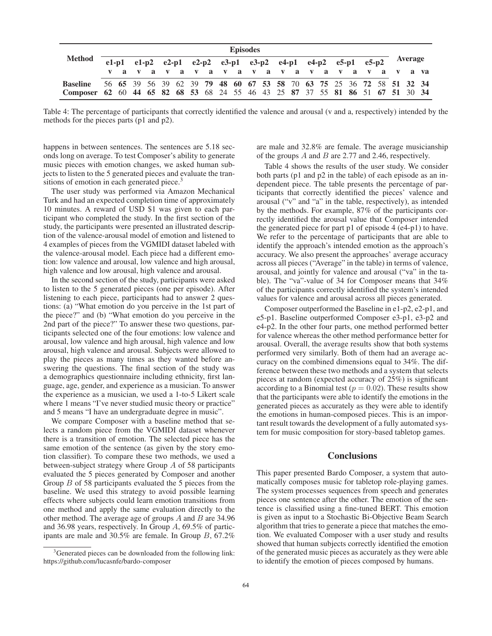|                                                                               | <b>Episodes</b> |  |  |                                     |  |  |                                                             |  |  |  |  |  |  |  |  |  |  |  |  |  |  |         |                                                                      |
|-------------------------------------------------------------------------------|-----------------|--|--|-------------------------------------|--|--|-------------------------------------------------------------|--|--|--|--|--|--|--|--|--|--|--|--|--|--|---------|----------------------------------------------------------------------|
| <b>Method</b>                                                                 |                 |  |  |                                     |  |  | e1-p1 e1-p2 e2-p1 e2-p2 e3-p1 e3-p2 e4-p1 e4-p2 e5-p1 e5-p2 |  |  |  |  |  |  |  |  |  |  |  |  |  |  | Average |                                                                      |
|                                                                               |                 |  |  | va va va va va va va va va va va va |  |  |                                                             |  |  |  |  |  |  |  |  |  |  |  |  |  |  |         |                                                                      |
| <b>Baseline</b>                                                               |                 |  |  |                                     |  |  |                                                             |  |  |  |  |  |  |  |  |  |  |  |  |  |  |         | 56 65 39 56 39 62 39 79 48 60 67 53 58 70 63 75 25 36 72 58 51 32 34 |
| Composer 62 60 44 65 82 68 53 68 24 55 46 43 25 87 37 55 81 86 51 67 51 30 34 |                 |  |  |                                     |  |  |                                                             |  |  |  |  |  |  |  |  |  |  |  |  |  |  |         |                                                                      |

Table 4: The percentage of participants that correctly identified the valence and arousal (v and a, respectively) intended by the methods for the pieces parts (p1 and p2).

happens in between sentences. The sentences are 5.18 seconds long on average. To test Composer's ability to generate music pieces with emotion changes, we asked human subjects to listen to the 5 generated pieces and evaluate the transitions of emotion in each generated piece.<sup>3</sup>

The user study was performed via Amazon Mechanical Turk and had an expected completion time of approximately 10 minutes. A reward of USD \$1 was given to each participant who completed the study. In the first section of the study, the participants were presented an illustrated description of the valence-arousal model of emotion and listened to 4 examples of pieces from the VGMIDI dataset labeled with the valence-arousal model. Each piece had a different emotion: low valence and arousal, low valence and high arousal, high valence and low arousal, high valence and arousal.

In the second section of the study, participants were asked to listen to the 5 generated pieces (one per episode). After listening to each piece, participants had to answer 2 questions: (a) "What emotion do you perceive in the 1st part of the piece?" and (b) "What emotion do you perceive in the 2nd part of the piece?" To answer these two questions, participants selected one of the four emotions: low valence and arousal, low valence and high arousal, high valence and low arousal, high valence and arousal. Subjects were allowed to play the pieces as many times as they wanted before answering the questions. The final section of the study was a demographics questionnaire including ethnicity, first language, age, gender, and experience as a musician. To answer the experience as a musician, we used a 1-to-5 Likert scale where 1 means "I've never studied music theory or practice" and 5 means "I have an undergraduate degree in music".

We compare Composer with a baseline method that selects a random piece from the VGMIDI dataset whenever there is a transition of emotion. The selected piece has the same emotion of the sentence (as given by the story emotion classifier). To compare these two methods, we used a between-subject strategy where Group A of 58 participants evaluated the 5 pieces generated by Composer and another Group B of 58 participants evaluated the 5 pieces from the baseline. We used this strategy to avoid possible learning effects where subjects could learn emotion transitions from one method and apply the same evaluation directly to the other method. The average age of groups  $A$  and  $B$  are 34.96 and 36.98 years, respectively. In Group A, 69.5% of participants are male and 30.5% are female. In Group B, 67.2%

are male and 32.8% are female. The average musicianship of the groups  $A$  and  $B$  are 2.77 and 2.46, respectively.

Table 4 shows the results of the user study. We consider both parts (p1 and p2 in the table) of each episode as an independent piece. The table presents the percentage of participants that correctly identified the pieces' valence and arousal ("v" and "a" in the table, respectively), as intended by the methods. For example, 87% of the participants correctly identified the arousal value that Composer intended the generated piece for part p1 of episode 4 (e4-p1) to have. We refer to the percentage of participants that are able to identify the approach's intended emotion as the approach's accuracy. We also present the approaches' average accuracy across all pieces ("Average" in the table) in terms of valence, arousal, and jointly for valence and arousal ("va" in the table). The "va"-value of 34 for Composer means that 34% of the participants correctly identified the system's intended values for valence and arousal across all pieces generated.

Composer outperformed the Baseline in e1-p2, e2-p1, and e5-p1. Baseline outperformed Composer e3-p1, e3-p2 and e4-p2. In the other four parts, one method performed better for valence whereas the other method performance better for arousal. Overall, the average results show that both systems performed very similarly. Both of them had an average accuracy on the combined dimensions equal to 34%. The difference between these two methods and a system that selects pieces at random (expected accuracy of 25%) is significant according to a Binomial test ( $p = 0.02$ ). These results show that the participants were able to identify the emotions in the generated pieces as accurately as they were able to identify the emotions in human-composed pieces. This is an important result towards the development of a fully automated system for music composition for story-based tabletop games.

### **Conclusions**

This paper presented Bardo Composer, a system that automatically composes music for tabletop role-playing games. The system processes sequences from speech and generates pieces one sentence after the other. The emotion of the sentence is classified using a fine-tuned BERT. This emotion is given as input to a Stochastic Bi-Objective Beam Search algorithm that tries to generate a piece that matches the emotion. We evaluated Composer with a user study and results showed that human subjects correctly identified the emotion of the generated music pieces as accurately as they were able to identify the emotion of pieces composed by humans.

<sup>&</sup>lt;sup>3</sup>Generated pieces can be downloaded from the following link: https://github.com/lucasnfe/bardo-composer